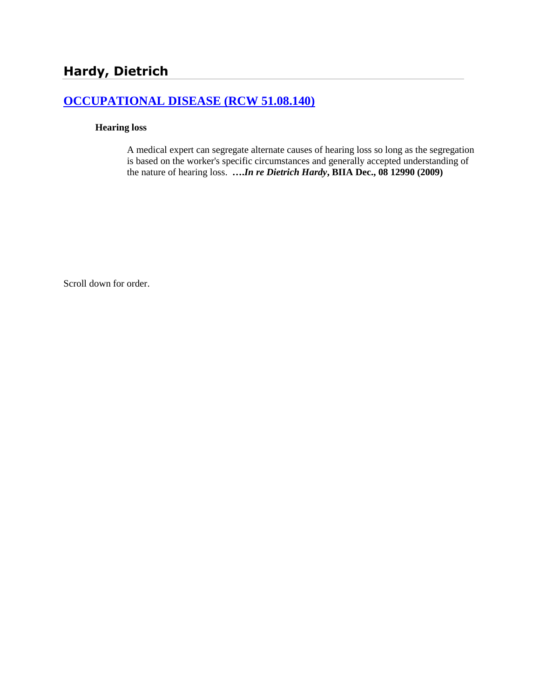# **[OCCUPATIONAL DISEASE \(RCW 51.08.140\)](http://www.biia.wa.gov/SDSubjectIndex.html#OCCUPATIONAL_DISEASE)**

#### **Hearing loss**

A medical expert can segregate alternate causes of hearing loss so long as the segregation is based on the worker's specific circumstances and generally accepted understanding of the nature of hearing loss. **….***In re Dietrich Hardy***, BIIA Dec., 08 12990 (2009)**

Scroll down for order.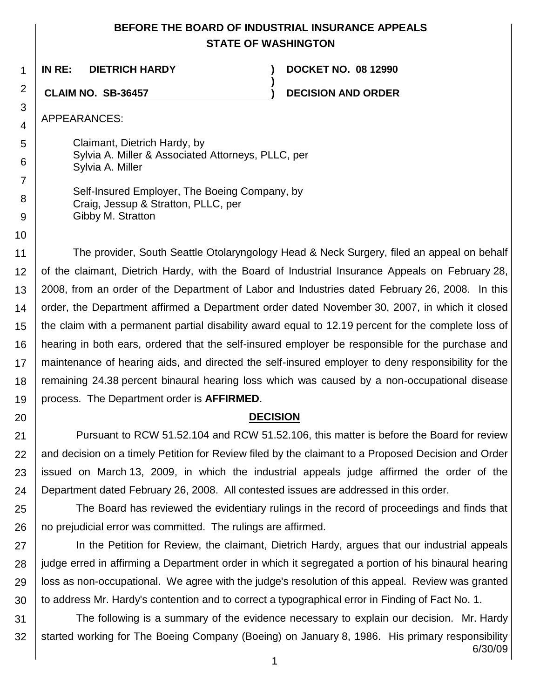## **BEFORE THE BOARD OF INDUSTRIAL INSURANCE APPEALS STATE OF WASHINGTON**

**)**

1 **IN RE: DIETRICH HARDY ) DOCKET NO. 08 12990**

**CLAIM NO. SB-36457 ) DECISION AND ORDER**

APPEARANCES:

2

3 4

5

6

7

8 9

10

20

Claimant, Dietrich Hardy, by Sylvia A. Miller & Associated Attorneys, PLLC, per Sylvia A. Miller

Self-Insured Employer, The Boeing Company, by Craig, Jessup & Stratton, PLLC, per Gibby M. Stratton

11 12 13 14 15 16 17 18 19 The provider, South Seattle Otolaryngology Head & Neck Surgery, filed an appeal on behalf of the claimant, Dietrich Hardy, with the Board of Industrial Insurance Appeals on February 28, 2008, from an order of the Department of Labor and Industries dated February 26, 2008. In this order, the Department affirmed a Department order dated November 30, 2007, in which it closed the claim with a permanent partial disability award equal to 12.19 percent for the complete loss of hearing in both ears, ordered that the self-insured employer be responsible for the purchase and maintenance of hearing aids, and directed the self-insured employer to deny responsibility for the remaining 24.38 percent binaural hearing loss which was caused by a non-occupational disease process. The Department order is **AFFIRMED**.

## **DECISION**

21 22 23 24 Pursuant to RCW 51.52.104 and RCW 51.52.106, this matter is before the Board for review and decision on a timely Petition for Review filed by the claimant to a Proposed Decision and Order issued on March 13, 2009, in which the industrial appeals judge affirmed the order of the Department dated February 26, 2008. All contested issues are addressed in this order.

25 26 The Board has reviewed the evidentiary rulings in the record of proceedings and finds that no prejudicial error was committed. The rulings are affirmed.

27 28 29 30 In the Petition for Review, the claimant, Dietrich Hardy, argues that our industrial appeals judge erred in affirming a Department order in which it segregated a portion of his binaural hearing loss as non-occupational. We agree with the judge's resolution of this appeal. Review was granted to address Mr. Hardy's contention and to correct a typographical error in Finding of Fact No. 1.

6/30/09 31 32 The following is a summary of the evidence necessary to explain our decision. Mr. Hardy started working for The Boeing Company (Boeing) on January 8, 1986. His primary responsibility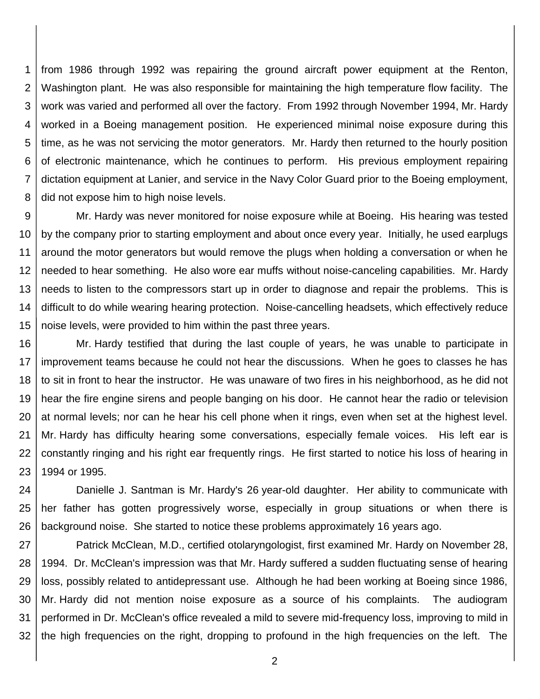1 2 3 4 5 6 7 8 from 1986 through 1992 was repairing the ground aircraft power equipment at the Renton, Washington plant. He was also responsible for maintaining the high temperature flow facility. The work was varied and performed all over the factory. From 1992 through November 1994, Mr. Hardy worked in a Boeing management position. He experienced minimal noise exposure during this time, as he was not servicing the motor generators. Mr. Hardy then returned to the hourly position of electronic maintenance, which he continues to perform. His previous employment repairing dictation equipment at Lanier, and service in the Navy Color Guard prior to the Boeing employment, did not expose him to high noise levels.

9 10 11 12 13 14 15 Mr. Hardy was never monitored for noise exposure while at Boeing. His hearing was tested by the company prior to starting employment and about once every year. Initially, he used earplugs around the motor generators but would remove the plugs when holding a conversation or when he needed to hear something. He also wore ear muffs without noise-canceling capabilities. Mr. Hardy needs to listen to the compressors start up in order to diagnose and repair the problems. This is difficult to do while wearing hearing protection. Noise-cancelling headsets, which effectively reduce noise levels, were provided to him within the past three years.

16 17 18 19 20 21 22 23 Mr. Hardy testified that during the last couple of years, he was unable to participate in improvement teams because he could not hear the discussions. When he goes to classes he has to sit in front to hear the instructor. He was unaware of two fires in his neighborhood, as he did not hear the fire engine sirens and people banging on his door. He cannot hear the radio or television at normal levels; nor can he hear his cell phone when it rings, even when set at the highest level. Mr. Hardy has difficulty hearing some conversations, especially female voices. His left ear is constantly ringing and his right ear frequently rings. He first started to notice his loss of hearing in 1994 or 1995.

24 25 26 Danielle J. Santman is Mr. Hardy's 26 year-old daughter. Her ability to communicate with her father has gotten progressively worse, especially in group situations or when there is background noise. She started to notice these problems approximately 16 years ago.

27 28 29 30 31 32 Patrick McClean, M.D., certified otolaryngologist, first examined Mr. Hardy on November 28, 1994. Dr. McClean's impression was that Mr. Hardy suffered a sudden fluctuating sense of hearing loss, possibly related to antidepressant use. Although he had been working at Boeing since 1986, Mr. Hardy did not mention noise exposure as a source of his complaints. The audiogram performed in Dr. McClean's office revealed a mild to severe mid-frequency loss, improving to mild in the high frequencies on the right, dropping to profound in the high frequencies on the left. The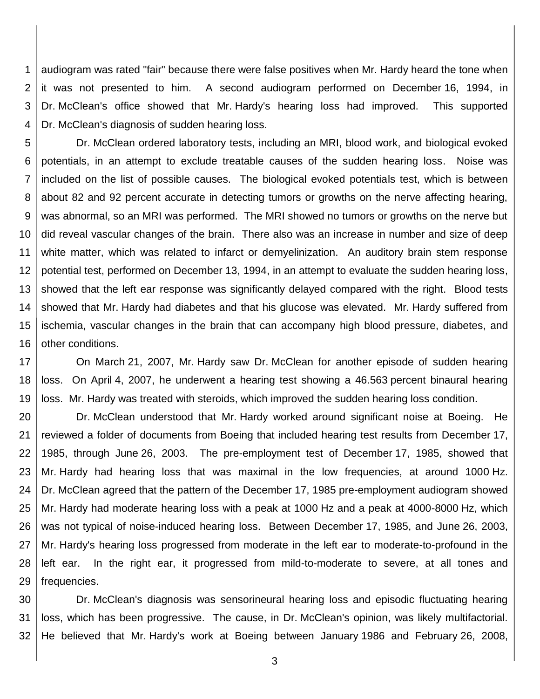1 2 3 4 audiogram was rated "fair" because there were false positives when Mr. Hardy heard the tone when it was not presented to him. A second audiogram performed on December 16, 1994, in Dr. McClean's office showed that Mr. Hardy's hearing loss had improved. This supported Dr. McClean's diagnosis of sudden hearing loss.

5 6 7 8 9 10 11 12 13 14 15 16 Dr. McClean ordered laboratory tests, including an MRI, blood work, and biological evoked potentials, in an attempt to exclude treatable causes of the sudden hearing loss. Noise was included on the list of possible causes. The biological evoked potentials test, which is between about 82 and 92 percent accurate in detecting tumors or growths on the nerve affecting hearing, was abnormal, so an MRI was performed. The MRI showed no tumors or growths on the nerve but did reveal vascular changes of the brain. There also was an increase in number and size of deep white matter, which was related to infarct or demyelinization. An auditory brain stem response potential test, performed on December 13, 1994, in an attempt to evaluate the sudden hearing loss, showed that the left ear response was significantly delayed compared with the right. Blood tests showed that Mr. Hardy had diabetes and that his glucose was elevated. Mr. Hardy suffered from ischemia, vascular changes in the brain that can accompany high blood pressure, diabetes, and other conditions.

17 18 19 On March 21, 2007, Mr. Hardy saw Dr. McClean for another episode of sudden hearing loss. On April 4, 2007, he underwent a hearing test showing a 46.563 percent binaural hearing loss. Mr. Hardy was treated with steroids, which improved the sudden hearing loss condition.

20 21 22 23 24 25 26 27 28 29 Dr. McClean understood that Mr. Hardy worked around significant noise at Boeing. He reviewed a folder of documents from Boeing that included hearing test results from December 17, 1985, through June 26, 2003. The pre-employment test of December 17, 1985, showed that Mr. Hardy had hearing loss that was maximal in the low frequencies, at around 1000 Hz. Dr. McClean agreed that the pattern of the December 17, 1985 pre-employment audiogram showed Mr. Hardy had moderate hearing loss with a peak at 1000 Hz and a peak at 4000-8000 Hz, which was not typical of noise-induced hearing loss. Between December 17, 1985, and June 26, 2003, Mr. Hardy's hearing loss progressed from moderate in the left ear to moderate-to-profound in the left ear. In the right ear, it progressed from mild-to-moderate to severe, at all tones and frequencies.

30 31 32 Dr. McClean's diagnosis was sensorineural hearing loss and episodic fluctuating hearing loss, which has been progressive. The cause, in Dr. McClean's opinion, was likely multifactorial. He believed that Mr. Hardy's work at Boeing between January 1986 and February 26, 2008,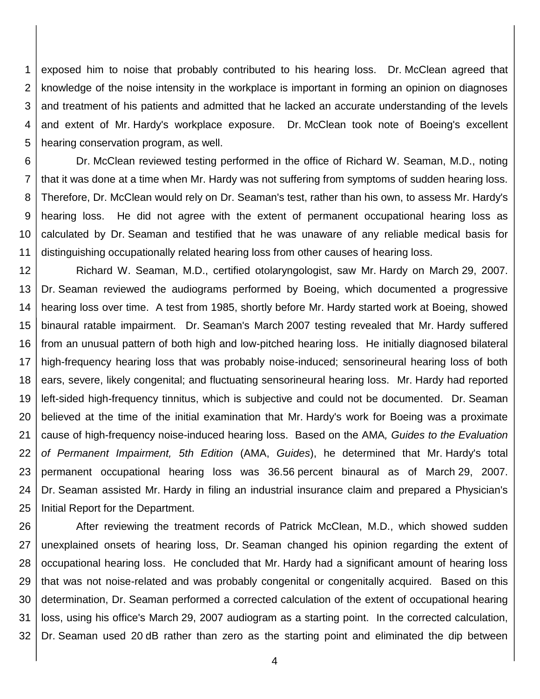1 2 3 4 5 exposed him to noise that probably contributed to his hearing loss. Dr. McClean agreed that knowledge of the noise intensity in the workplace is important in forming an opinion on diagnoses and treatment of his patients and admitted that he lacked an accurate understanding of the levels and extent of Mr. Hardy's workplace exposure. Dr. McClean took note of Boeing's excellent hearing conservation program, as well.

6 7 8 9 10 11 Dr. McClean reviewed testing performed in the office of Richard W. Seaman, M.D., noting that it was done at a time when Mr. Hardy was not suffering from symptoms of sudden hearing loss. Therefore, Dr. McClean would rely on Dr. Seaman's test, rather than his own, to assess Mr. Hardy's hearing loss. He did not agree with the extent of permanent occupational hearing loss as calculated by Dr. Seaman and testified that he was unaware of any reliable medical basis for distinguishing occupationally related hearing loss from other causes of hearing loss.

12 13 14 15 16 17 18 19 20 21 22 23 24 25 Richard W. Seaman, M.D., certified otolaryngologist, saw Mr. Hardy on March 29, 2007. Dr. Seaman reviewed the audiograms performed by Boeing, which documented a progressive hearing loss over time. A test from 1985, shortly before Mr. Hardy started work at Boeing, showed binaural ratable impairment. Dr. Seaman's March 2007 testing revealed that Mr. Hardy suffered from an unusual pattern of both high and low-pitched hearing loss. He initially diagnosed bilateral high-frequency hearing loss that was probably noise-induced; sensorineural hearing loss of both ears, severe, likely congenital; and fluctuating sensorineural hearing loss. Mr. Hardy had reported left-sided high-frequency tinnitus, which is subjective and could not be documented. Dr. Seaman believed at the time of the initial examination that Mr. Hardy's work for Boeing was a proximate cause of high-frequency noise-induced hearing loss. Based on the AMA*, Guides to the Evaluation of Permanent Impairment, 5th Edition* (AMA, *Guides*), he determined that Mr. Hardy's total permanent occupational hearing loss was 36.56 percent binaural as of March 29, 2007. Dr. Seaman assisted Mr. Hardy in filing an industrial insurance claim and prepared a Physician's Initial Report for the Department.

26 27 28 29 30 31 32 After reviewing the treatment records of Patrick McClean, M.D., which showed sudden unexplained onsets of hearing loss, Dr. Seaman changed his opinion regarding the extent of occupational hearing loss. He concluded that Mr. Hardy had a significant amount of hearing loss that was not noise-related and was probably congenital or congenitally acquired. Based on this determination, Dr. Seaman performed a corrected calculation of the extent of occupational hearing loss, using his office's March 29, 2007 audiogram as a starting point. In the corrected calculation, Dr. Seaman used 20 dB rather than zero as the starting point and eliminated the dip between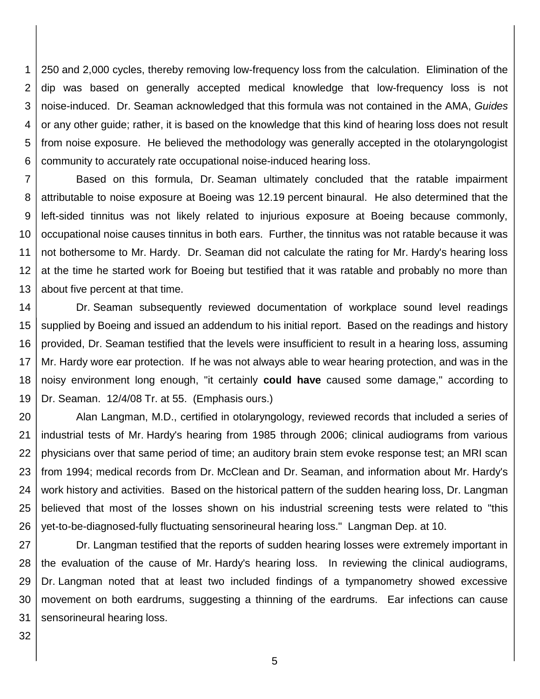1 2 3 4 5 6 250 and 2,000 cycles, thereby removing low-frequency loss from the calculation. Elimination of the dip was based on generally accepted medical knowledge that low-frequency loss is not noise-induced. Dr. Seaman acknowledged that this formula was not contained in the AMA, *Guides* or any other guide; rather, it is based on the knowledge that this kind of hearing loss does not result from noise exposure. He believed the methodology was generally accepted in the otolaryngologist community to accurately rate occupational noise-induced hearing loss.

7 8 9 10 11 12 13 Based on this formula, Dr. Seaman ultimately concluded that the ratable impairment attributable to noise exposure at Boeing was 12.19 percent binaural. He also determined that the left-sided tinnitus was not likely related to injurious exposure at Boeing because commonly, occupational noise causes tinnitus in both ears. Further, the tinnitus was not ratable because it was not bothersome to Mr. Hardy. Dr. Seaman did not calculate the rating for Mr. Hardy's hearing loss at the time he started work for Boeing but testified that it was ratable and probably no more than about five percent at that time.

14 15 16 17 18 19 Dr. Seaman subsequently reviewed documentation of workplace sound level readings supplied by Boeing and issued an addendum to his initial report. Based on the readings and history provided, Dr. Seaman testified that the levels were insufficient to result in a hearing loss, assuming Mr. Hardy wore ear protection. If he was not always able to wear hearing protection, and was in the noisy environment long enough, "it certainly **could have** caused some damage," according to Dr. Seaman. 12/4/08 Tr. at 55. (Emphasis ours.)

20 21 22 23 24 25 26 Alan Langman, M.D., certified in otolaryngology, reviewed records that included a series of industrial tests of Mr. Hardy's hearing from 1985 through 2006; clinical audiograms from various physicians over that same period of time; an auditory brain stem evoke response test; an MRI scan from 1994; medical records from Dr. McClean and Dr. Seaman, and information about Mr. Hardy's work history and activities. Based on the historical pattern of the sudden hearing loss, Dr. Langman believed that most of the losses shown on his industrial screening tests were related to "this yet-to-be-diagnosed-fully fluctuating sensorineural hearing loss." Langman Dep. at 10.

27 28 29 30 31 Dr. Langman testified that the reports of sudden hearing losses were extremely important in the evaluation of the cause of Mr. Hardy's hearing loss. In reviewing the clinical audiograms, Dr. Langman noted that at least two included findings of a tympanometry showed excessive movement on both eardrums, suggesting a thinning of the eardrums. Ear infections can cause sensorineural hearing loss.

32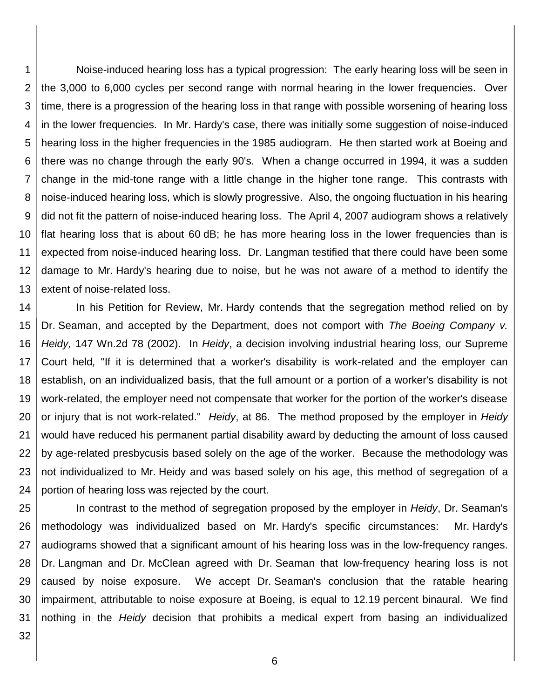1 2 3 4 5 6 7 8 9 10 11 12 13 Noise-induced hearing loss has a typical progression: The early hearing loss will be seen in the 3,000 to 6,000 cycles per second range with normal hearing in the lower frequencies. Over time, there is a progression of the hearing loss in that range with possible worsening of hearing loss in the lower frequencies. In Mr. Hardy's case, there was initially some suggestion of noise-induced hearing loss in the higher frequencies in the 1985 audiogram. He then started work at Boeing and there was no change through the early 90's. When a change occurred in 1994, it was a sudden change in the mid-tone range with a little change in the higher tone range. This contrasts with noise-induced hearing loss, which is slowly progressive. Also, the ongoing fluctuation in his hearing did not fit the pattern of noise-induced hearing loss. The April 4, 2007 audiogram shows a relatively flat hearing loss that is about 60 dB; he has more hearing loss in the lower frequencies than is expected from noise-induced hearing loss. Dr. Langman testified that there could have been some damage to Mr. Hardy's hearing due to noise, but he was not aware of a method to identify the extent of noise-related loss.

14 15 16 17 18 19 20 21 22 23 24 In his Petition for Review, Mr. Hardy contends that the segregation method relied on by Dr. Seaman, and accepted by the Department, does not comport with *The Boeing Company v. Heidy,* 147 Wn.2d 78 (2002). In *Heidy*, a decision involving industrial hearing loss, our Supreme Court held*,* "If it is determined that a worker's disability is work-related and the employer can establish, on an individualized basis, that the full amount or a portion of a worker's disability is not work-related, the employer need not compensate that worker for the portion of the worker's disease or injury that is not work-related." *Heidy*, at 86. The method proposed by the employer in *Heidy* would have reduced his permanent partial disability award by deducting the amount of loss caused by age-related presbycusis based solely on the age of the worker. Because the methodology was not individualized to Mr. Heidy and was based solely on his age, this method of segregation of a portion of hearing loss was rejected by the court.

25 26 27 28 29 30 31 In contrast to the method of segregation proposed by the employer in *Heidy*, Dr. Seaman's methodology was individualized based on Mr. Hardy's specific circumstances: Mr. Hardy's audiograms showed that a significant amount of his hearing loss was in the low-frequency ranges. Dr. Langman and Dr. McClean agreed with Dr. Seaman that low-frequency hearing loss is not caused by noise exposure. We accept Dr. Seaman's conclusion that the ratable hearing impairment, attributable to noise exposure at Boeing, is equal to 12.19 percent binaural. We find nothing in the *Heidy* decision that prohibits a medical expert from basing an individualized

32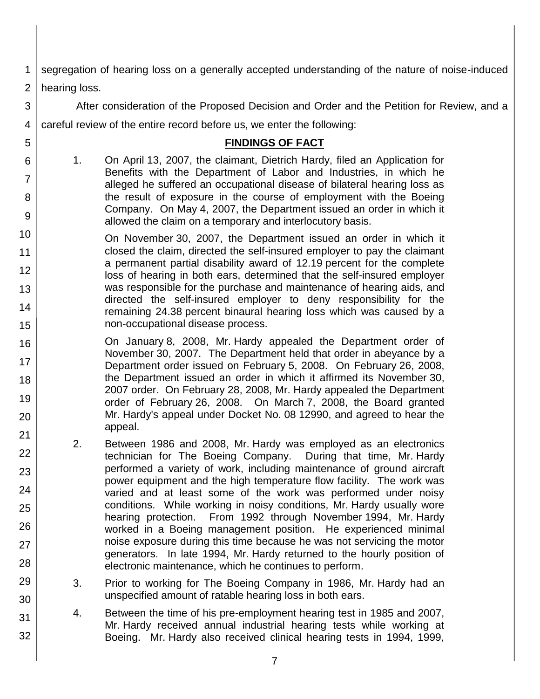1 2 segregation of hearing loss on a generally accepted understanding of the nature of noise-induced hearing loss.

3 4 After consideration of the Proposed Decision and Order and the Petition for Review, and a careful review of the entire record before us, we enter the following:

#### **FINDINGS OF FACT**

1. On April 13, 2007, the claimant, Dietrich Hardy, filed an Application for Benefits with the Department of Labor and Industries, in which he alleged he suffered an occupational disease of bilateral hearing loss as the result of exposure in the course of employment with the Boeing Company. On May 4, 2007, the Department issued an order in which it allowed the claim on a temporary and interlocutory basis.

5

6

7

8

9

16

17 18

19

20

21 22

23

24

25

26

27

28

29

30

31

- 10 11 12 13 14 15 On November 30, 2007, the Department issued an order in which it closed the claim, directed the self-insured employer to pay the claimant a permanent partial disability award of 12.19 percent for the complete loss of hearing in both ears, determined that the self-insured employer was responsible for the purchase and maintenance of hearing aids, and directed the self-insured employer to deny responsibility for the remaining 24.38 percent binaural hearing loss which was caused by a non-occupational disease process.
	- On January 8, 2008, Mr. Hardy appealed the Department order of November 30, 2007. The Department held that order in abeyance by a Department order issued on February 5, 2008. On February 26, 2008, the Department issued an order in which it affirmed its November 30, 2007 order. On February 28, 2008, Mr. Hardy appealed the Department order of February 26, 2008. On March 7, 2008, the Board granted Mr. Hardy's appeal under Docket No. 08 12990, and agreed to hear the appeal.
		- 2. Between 1986 and 2008, Mr. Hardy was employed as an electronics technician for The Boeing Company. During that time, Mr. Hardy performed a variety of work, including maintenance of ground aircraft power equipment and the high temperature flow facility. The work was varied and at least some of the work was performed under noisy conditions. While working in noisy conditions, Mr. Hardy usually wore hearing protection. From 1992 through November 1994, Mr. Hardy worked in a Boeing management position. He experienced minimal noise exposure during this time because he was not servicing the motor generators. In late 1994, Mr. Hardy returned to the hourly position of electronic maintenance, which he continues to perform.
		- 3. Prior to working for The Boeing Company in 1986, Mr. Hardy had an unspecified amount of ratable hearing loss in both ears.
		- 4. Between the time of his pre-employment hearing test in 1985 and 2007, Mr. Hardy received annual industrial hearing tests while working at Boeing. Mr. Hardy also received clinical hearing tests in 1994, 1999,